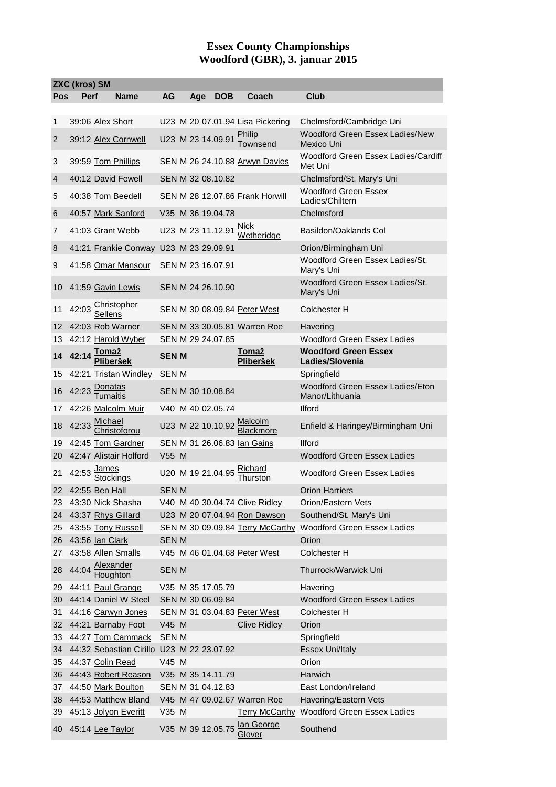## **Essex County Championships Woodford (GBR), 3. januar 2015**

| <b>ZXC (kros) SM</b> |       |                                             |              |  |     |                   |  |                                       |                                                      |
|----------------------|-------|---------------------------------------------|--------------|--|-----|-------------------|--|---------------------------------------|------------------------------------------------------|
| Pos                  | Perf  | <b>Name</b>                                 | AG           |  | Age | <b>DOB</b>        |  | Coach                                 | Club                                                 |
|                      |       |                                             |              |  |     |                   |  |                                       |                                                      |
| 1                    |       | 39:06 Alex Short                            |              |  |     |                   |  | U23 M 20 07.01.94 Lisa Pickering      | Chelmsford/Cambridge Uni                             |
| 2                    |       | 39:12 Alex Cornwell                         |              |  |     |                   |  | U23 M 23 14.09.91 Philip<br>Townsend  | <b>Woodford Green Essex Ladies/New</b><br>Mexico Uni |
| 3                    |       | 39:59 Tom Phillips                          |              |  |     |                   |  | SEN M 26 24.10.88 Arwyn Davies        | Woodford Green Essex Ladies/Cardiff<br>Met Uni       |
| $\overline{4}$       |       | 40:12 David Fewell                          |              |  |     | SEN M 32 08.10.82 |  |                                       | Chelmsford/St. Mary's Uni                            |
| 5                    |       | 40:38 Tom Beedell                           |              |  |     |                   |  | SEN M 28 12.07.86 Frank Horwill       | <b>Woodford Green Essex</b><br>Ladies/Chiltern       |
| 6                    |       | 40:57 Mark Sanford                          |              |  |     | V35 M 36 19.04.78 |  |                                       | Chelmsford                                           |
| 7                    |       | 41:03 Grant Webb                            |              |  |     |                   |  | U23 M 23 11.12.91 Nick                | Basildon/Oaklands Col                                |
| 8                    |       | 41:21 Frankie Conway U23 M 23 29.09.91      |              |  |     |                   |  |                                       | Orion/Birmingham Uni                                 |
| 9                    |       | 41:58 Omar Mansour                          |              |  |     | SEN M 23 16.07.91 |  |                                       | Woodford Green Essex Ladies/St.<br>Mary's Uni        |
| 10                   |       | 41:59 Gavin Lewis                           |              |  |     | SEN M 24 26.10.90 |  |                                       | Woodford Green Essex Ladies/St.<br>Mary's Uni        |
| 11                   |       | 42:03 Christopher<br>Sellens                |              |  |     |                   |  | SEN M 30 08.09.84 Peter West          | Colchester H                                         |
| 12                   |       | 42:03 Rob Warner                            |              |  |     |                   |  | SEN M 33 30.05.81 Warren Roe          | Havering                                             |
| 13                   |       | 42:12 Harold Wyber                          |              |  |     | SEN M 29 24.07.85 |  |                                       | <b>Woodford Green Essex Ladies</b>                   |
| 14                   |       | Tomaž<br>Pliberšek                          | <b>SEN M</b> |  |     |                   |  | Tomaž<br><b>Pliberšek</b>             | <b>Woodford Green Essex</b><br>Ladies/Slovenia       |
| 15                   |       | 42:21 Tristan Windley                       | SEN M        |  |     |                   |  |                                       | Springfield                                          |
| 16                   | 42:23 | <b>Donatas</b>                              |              |  |     | SEN M 30 10.08.84 |  |                                       | Woodford Green Essex Ladies/Eton<br>Manor/Lithuania  |
| 17                   |       | 42:26 Malcolm Muir                          |              |  |     | V40 M 40 02.05.74 |  |                                       | <b>Ilford</b>                                        |
| 18                   | 42:33 | Michael<br>Christoforou                     |              |  |     | U23 M 22 10.10.92 |  |                                       | Enfield & Haringey/Birmingham Uni                    |
| 19                   |       | 42:45 Tom Gardner                           |              |  |     |                   |  | SEN M 31 26.06.83 Ian Gains           | <b>Ilford</b>                                        |
| 20                   |       | 42:47 Alistair Holford                      | V55 M        |  |     |                   |  |                                       | Woodford Green Essex Ladies                          |
| 21                   |       | 42:53 $\frac{\text{James}}{2}$<br>Stockinas |              |  |     |                   |  | U20 M 19 21.04.95 Richard<br>Thurston | Woodford Green Essex Ladies                          |
|                      |       | 22 42:55 Ben Hall                           | SEN M        |  |     |                   |  |                                       | <b>Orion Harriers</b>                                |
| 23                   |       | 43:30 Nick Shasha                           |              |  |     |                   |  | V40 M 40 30.04.74 Clive Ridley        | Orion/Eastern Vets                                   |
| 24                   |       | 43:37 Rhys Gillard                          |              |  |     |                   |  | U23 M 20 07.04.94 Ron Dawson          | Southend/St. Mary's Uni                              |
| 25                   |       | 43:55 Tony Russell                          |              |  |     |                   |  | SEN M 30 09.09.84 Terry McCarthy      | <b>Woodford Green Essex Ladies</b>                   |
| 26                   |       | 43:56 Ian Clark                             | <b>SEN M</b> |  |     |                   |  |                                       | Orion                                                |
| 27                   |       | 43:58 Allen Smalls                          |              |  |     |                   |  | V45 M 46 01.04.68 Peter West          | Colchester H                                         |
| 28                   | 44:04 | Alexander<br>Houghton                       | <b>SEN M</b> |  |     |                   |  |                                       | Thurrock/Warwick Uni                                 |
| 29                   |       | 44:11 Paul Grange                           |              |  |     | V35 M 35 17.05.79 |  |                                       | Havering                                             |
| 30                   |       | 44:14 Daniel W Steel                        |              |  |     | SEN M 30 06.09.84 |  |                                       | <b>Woodford Green Essex Ladies</b>                   |
| 31                   |       | 44:16 Carwyn Jones                          |              |  |     |                   |  | SEN M 31 03.04.83 Peter West          | Colchester H                                         |
| 32 <sup>2</sup>      |       | 44:21 Barnaby Foot                          | V45 M        |  |     |                   |  | <b>Clive Ridley</b>                   | Orion                                                |
| 33                   |       | 44:27 Tom Cammack                           | SEN M        |  |     |                   |  |                                       | Springfield                                          |
| 34                   |       | 44:32 Sebastian Cirillo U23 M 22 23.07.92   |              |  |     |                   |  |                                       | Essex Uni/Italy                                      |
| 35                   |       | 44:37 Colin Read                            | V45 M        |  |     |                   |  |                                       | Orion                                                |
| 36                   |       | 44:43 Robert Reason                         |              |  |     | V35 M 35 14.11.79 |  |                                       | Harwich                                              |
| 37                   |       | 44:50 Mark Boulton                          |              |  |     | SEN M 31 04.12.83 |  |                                       | East London/Ireland                                  |
| 38                   |       | 44:53 Matthew Bland                         |              |  |     |                   |  | V45 M 47 09.02.67 Warren Roe          | Havering/Eastern Vets                                |
| 39                   |       | 45:13 Jolyon Everitt                        | V35 M        |  |     |                   |  |                                       | Terry McCarthy Woodford Green Essex Ladies           |
| 40                   |       | 45:14 Lee Taylor                            |              |  |     | V35 M 39 12.05.75 |  | lan George<br>Glover                  | Southend                                             |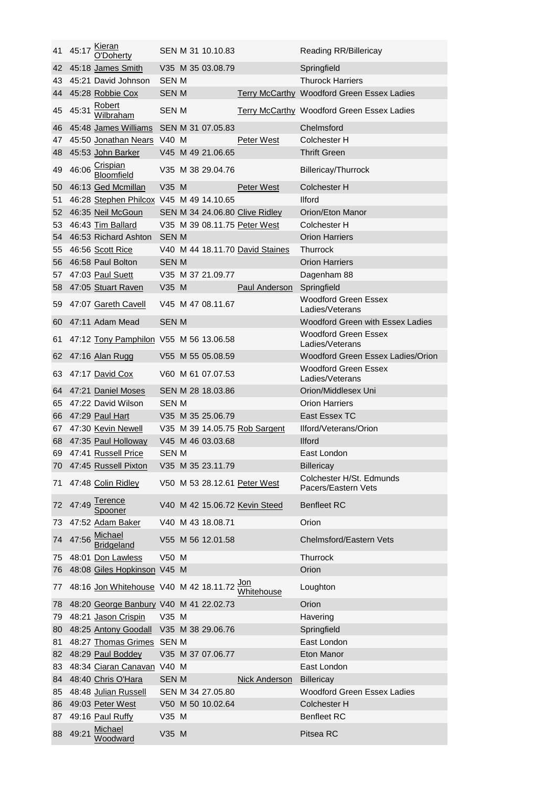| 41 | 45:17 | <b>Kieran</b><br>O'Doherty              |              | SEN M 31 10.10.83 |                                 | <b>Reading RR/Billericay</b>                   |
|----|-------|-----------------------------------------|--------------|-------------------|---------------------------------|------------------------------------------------|
| 42 |       | 45:18 James Smith                       |              | V35 M 35 03.08.79 |                                 | Springfield                                    |
| 43 |       | 45:21 David Johnson                     | SEN M        |                   |                                 | <b>Thurock Harriers</b>                        |
|    |       | 44 45:28 Robbie Cox                     | SEN M        |                   |                                 | Terry McCarthy Woodford Green Essex Ladies     |
| 45 | 45:31 | Robert<br>Wilbraham                     | SEN M        |                   |                                 | Terry McCarthy Woodford Green Essex Ladies     |
| 46 |       | 45:48 James Williams                    |              | SEN M 31 07.05.83 |                                 | Chelmsford                                     |
| 47 |       | 45:50 Jonathan Nears V40 M              |              |                   | Peter West                      | Colchester H                                   |
| 48 |       | 45:53 John Barker                       |              | V45 M 49 21.06.65 |                                 | <b>Thrift Green</b>                            |
| 49 | 46:06 | Crispian<br>Bloomfield                  |              | V35 M 38 29.04.76 |                                 | Billericay/Thurrock                            |
| 50 |       | 46:13 Ged Mcmillan                      | $V35$ M      |                   | Peter West                      | Colchester H                                   |
| 51 |       | 46:28 Stephen Philcox V45 M 49 14.10.65 |              |                   |                                 | <b>Ilford</b>                                  |
| 52 |       | 46:35 Neil McGoun                       |              |                   | SEN M 34 24.06.80 Clive Ridley  | Orion/Eton Manor                               |
| 53 |       | 46:43 Tim Ballard                       |              |                   | V35 M 39 08.11.75 Peter West    | Colchester H                                   |
| 54 |       | 46:53 Richard Ashton                    | <b>SEN M</b> |                   |                                 | <b>Orion Harriers</b>                          |
| 55 |       | 46:56 Scott Rice                        |              |                   | V40 M 44 18.11.70 David Staines | Thurrock                                       |
|    |       |                                         |              |                   |                                 |                                                |
| 56 |       | 46:58 Paul Bolton                       | SEN M        |                   |                                 | <b>Orion Harriers</b>                          |
| 57 |       | 47:03 Paul Suett                        |              | V35 M 37 21.09.77 |                                 | Dagenham 88                                    |
| 58 |       | 47:05 Stuart Raven                      | V35 M        |                   | <b>Paul Anderson</b>            | Springfield                                    |
| 59 |       | 47:07 Gareth Cavell                     |              | V45 M 47 08.11.67 |                                 | <b>Woodford Green Essex</b><br>Ladies/Veterans |
| 60 |       | 47:11 Adam Mead                         | <b>SEN M</b> |                   |                                 | Woodford Green with Essex Ladies               |
| 61 |       | 47:12 Tony Pamphilon V55 M 56 13.06.58  |              |                   |                                 | Woodford Green Essex<br>Ladies/Veterans        |
| 62 |       | 47:16 Alan Rugg                         |              | V55 M 55 05.08.59 |                                 | Woodford Green Essex Ladies/Orion              |
| 63 |       | 47:17 David Cox                         |              | V60 M 61 07.07.53 |                                 | Woodford Green Essex<br>Ladies/Veterans        |
| 64 |       | 47:21 Daniel Moses                      |              | SEN M 28 18.03.86 |                                 | Orion/Middlesex Uni                            |
| 65 |       | 47:22 David Wilson                      | SEN M        |                   |                                 | <b>Orion Harriers</b>                          |
| 66 |       | 47:29 Paul Hart                         |              | V35 M 35 25.06.79 |                                 | East Essex TC                                  |
| 67 |       | 47:30 Kevin Newell                      |              |                   | V35 M 39 14.05.75 Rob Sargent   | Ilford/Veterans/Orion                          |
|    |       | 68 47:35 Paul Holloway                  |              | V45 M 46 03.03.68 |                                 | <b>Ilford</b>                                  |
|    |       | 69 47:41 Russell Price                  | <b>SEN M</b> |                   |                                 | East London                                    |
|    |       | 70 47:45 Russell Pixton                 |              | V35 M 35 23.11.79 |                                 | <b>Billericay</b>                              |
|    |       |                                         |              |                   |                                 | Colchester H/St. Edmunds                       |
| 71 |       | 47:48 Colin Ridley                      |              |                   | V50 M 53 28.12.61 Peter West    | Pacers/Eastern Vets                            |
| 72 | 47:49 | <u>Terence</u><br>Spooner               |              |                   | V40 M 42 15.06.72 Kevin Steed   | <b>Benfleet RC</b>                             |
| 73 |       | 47:52 Adam Baker                        |              | V40 M 43 18.08.71 |                                 | Orion                                          |
| 74 | 47:56 | <u>Michael</u><br>Bridgeland            |              | V55 M 56 12.01.58 |                                 | <b>Chelmsford/Eastern Vets</b>                 |
| 75 |       | 48:01 Don Lawless                       | V50 M        |                   |                                 | Thurrock                                       |
| 76 |       | 48:08 Giles Hopkinson V45 M             |              |                   |                                 | Orion                                          |
| 77 |       | 48:16 Jon Whitehouse V40 M 42 18.11.72  |              |                   | Jon<br>Whitehouse               | Loughton                                       |
| 78 |       | 48:20 George Banbury V40 M 41 22.02.73  |              |                   |                                 | Orion                                          |
| 79 |       | 48:21 Jason Crispin                     | V35 M        |                   |                                 | Havering                                       |
| 80 |       | 48:25 Antony Goodall V35 M 38 29.06.76  |              |                   |                                 | Springfield                                    |
| 81 |       | 48:27 Thomas Grimes SEN M               |              |                   |                                 | East London                                    |
| 82 |       | 48:29 Paul Boddey                       |              | V35 M 37 07.06.77 |                                 | Eton Manor                                     |
| 83 |       | 48:34 Ciaran Canavan V40 M              |              |                   |                                 | East London                                    |
| 84 |       | 48:40 Chris O'Hara                      | <b>SEN M</b> |                   | Nick Anderson                   | <b>Billericay</b>                              |
| 85 |       | 48:48 Julian Russell                    |              | SEN M 34 27.05.80 |                                 | Woodford Green Essex Ladies                    |
|    |       | 86 49:03 Peter West                     |              | V50 M 50 10.02.64 |                                 | Colchester H                                   |
| 87 |       | 49:16 Paul Ruffy                        | V35 M        |                   |                                 | <b>Benfleet RC</b>                             |
|    |       | Michael                                 |              |                   |                                 |                                                |
| 88 | 49:21 | Woodward                                | V35 M        |                   |                                 | Pitsea RC                                      |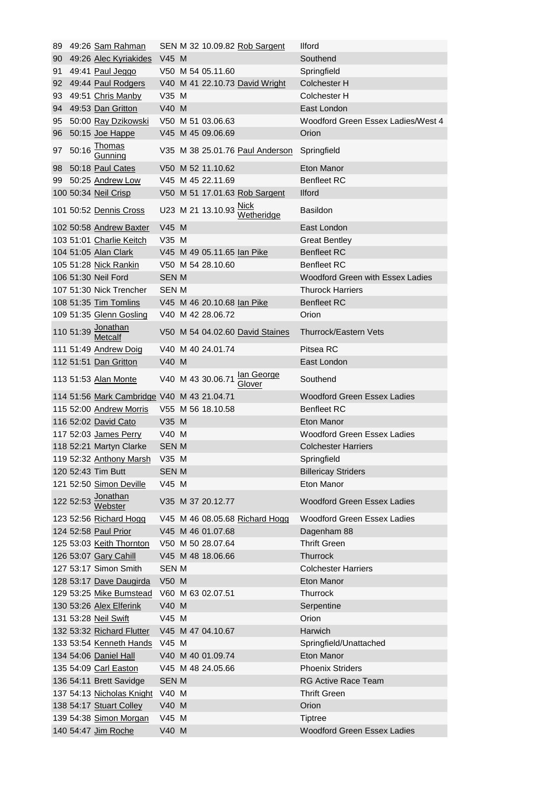|    | 89 49:26 Sam Rahman                          |              |                                                    | SEN M 32 10.09.82 Rob Sargent       | <b>Ilford</b>                      |
|----|----------------------------------------------|--------------|----------------------------------------------------|-------------------------------------|------------------------------------|
|    | 90 49:26 Alec Kyriakides                     | V45 M        |                                                    |                                     | Southend                           |
| 91 | 49:41 Paul Jeggo                             |              | V50 M 54 05.11.60                                  |                                     | Springfield                        |
| 92 | 49:44 Paul Rodgers                           |              |                                                    | V40 M 41 22.10.73 David Wright      | <b>Colchester H</b>                |
| 93 | 49:51 Chris Manby                            | V35 M        |                                                    |                                     | Colchester H                       |
|    | 94 49:53 Dan Gritton                         | V40 M        |                                                    |                                     | East London                        |
|    | 95 50:00 Ray Dzikowski                       |              | V50 M 51 03.06.63                                  |                                     | Woodford Green Essex Ladies/West 4 |
|    | 96 50:15 Joe Happe                           |              | V45 M 45 09.06.69                                  |                                     | Orion                              |
| 97 | $50:16 \frac{\text{Thomas}}{\text{Gunnina}}$ |              |                                                    | V35 M 38 25.01.76 Paul Anderson     | Springfield                        |
| 98 | 50:18 Paul Cates                             |              | V50 M 52 11.10.62                                  |                                     | Eton Manor                         |
|    | 99 50:25 Andrew Low                          |              | V45 M 45 22.11.69                                  |                                     | <b>Benfleet RC</b>                 |
|    | 100 50:34 Neil Crisp                         |              |                                                    | V50 M 51 17.01.63 Rob Sargent       | <b>Ilford</b>                      |
|    | 101 50:52 Dennis Cross                       |              | U23 M 21 13.10.93 $\frac{\text{Nick}}{\text{MSE}}$ | Wetheridge                          | <b>Basildon</b>                    |
|    | 102 50:58 Andrew Baxter                      | V45 M        |                                                    |                                     | East London                        |
|    | 103 51:01 Charlie Keitch                     | $V35$ M      |                                                    |                                     | <b>Great Bentley</b>               |
|    | 104 51:05 Alan Clark                         |              | V45 M 49 05.11.65 lan Pike                         |                                     | <b>Benfleet RC</b>                 |
|    | 105 51:28 Nick Rankin                        |              | V50 M 54 28.10.60                                  |                                     | <b>Benfleet RC</b>                 |
|    | 106 51:30 Neil Ford                          | <b>SEN M</b> |                                                    |                                     | Woodford Green with Essex Ladies   |
|    | 107 51:30 Nick Trencher                      | SEN M        |                                                    |                                     | <b>Thurock Harriers</b>            |
|    | 108 51:35 Tim Tomlins                        |              | V45 M 46 20.10.68 Ian Pike                         |                                     | <b>Benfleet RC</b>                 |
|    | 109 51:35 Glenn Gosling                      |              | V40 M 42 28.06.72                                  |                                     | Orion                              |
|    | 110 51:39 Jonathan                           |              |                                                    | V50 M 54 04.02.60 David Staines     | Thurrock/Eastern Vets              |
|    | 111 51:49 Andrew Doig                        |              | V40 M 40 24.01.74                                  |                                     | Pitsea RC                          |
|    | 112 51:51 Dan Gritton                        | V40 M        |                                                    |                                     | East London                        |
|    | 113 51:53 Alan Monte                         |              |                                                    | V40 M 43 30.06.71 <b>lan George</b> | Southend                           |
|    | 114 51:56 Mark Cambridge V40 M 43 21.04.71   |              |                                                    |                                     | <b>Woodford Green Essex Ladies</b> |
|    | 115 52:00 Andrew Morris                      |              | V55 M 56 18.10.58                                  |                                     | <b>Benfleet RC</b>                 |
|    | 116 52:02 David Cato                         | V35 M        |                                                    |                                     | Eton Manor                         |
|    | 117 52:03 James Perry                        | V40 M        |                                                    |                                     | Woodford Green Essex Ladies        |
|    | 118 52:21 Martyn Clarke                      | <b>SEN M</b> |                                                    |                                     | <b>Colchester Harriers</b>         |
|    | 119 52:32 Anthony Marsh V35 M                |              |                                                    |                                     | Springfield                        |
|    | 120 52:43 Tim Butt                           | SEN M        |                                                    |                                     | <b>Billericay Striders</b>         |
|    | 121 52:50 Simon Deville                      | V45 M        |                                                    |                                     | Eton Manor                         |
|    | 122 52:53 <u>Jonathan</u><br>Webster         |              | V35 M 37 20.12.77                                  |                                     | <b>Woodford Green Essex Ladies</b> |
|    | 123 52:56 Richard Hogg                       |              |                                                    | V45 M 46 08.05.68 Richard Hogg      | <b>Woodford Green Essex Ladies</b> |
|    | 124 52:58 Paul Prior                         |              | V45 M 46 01.07.68                                  |                                     | Dagenham 88                        |
|    | 125 53:03 Keith Thornton                     |              | V50 M 50 28.07.64                                  |                                     | <b>Thrift Green</b>                |
|    | 126 53:07 Gary Cahill                        |              | V45 M 48 18.06.66                                  |                                     | <b>Thurrock</b>                    |
|    | 127 53:17 Simon Smith                        | <b>SEN M</b> |                                                    |                                     | <b>Colchester Harriers</b>         |
|    | 128 53:17 Dave Daugirda                      | V50 M        |                                                    |                                     | Eton Manor                         |
|    | 129 53:25 Mike Bumstead V60 M 63 02.07.51    |              |                                                    |                                     | Thurrock                           |
|    | 130 53:26 Alex Elferink                      | V40 M        |                                                    |                                     | Serpentine                         |
|    | 131 53:28 Neil Swift                         | V45 M        |                                                    |                                     | Orion                              |
|    | 132 53:32 Richard Flutter                    |              | V45 M 47 04.10.67                                  |                                     | Harwich                            |
|    | 133 53:54 Kenneth Hands V45 M                |              |                                                    |                                     | Springfield/Unattached             |
|    | 134 54:06 Daniel Hall                        |              | V40 M 40 01.09.74                                  |                                     | Eton Manor                         |
|    | 135 54:09 Carl Easton                        |              | V45 M 48 24.05.66                                  |                                     | <b>Phoenix Striders</b>            |
|    | 136 54:11 Brett Savidge                      | <b>SEN M</b> |                                                    |                                     | RG Active Race Team                |
|    | 137 54:13 Nicholas Knight                    | V40 M        |                                                    |                                     | <b>Thrift Green</b>                |
|    |                                              |              |                                                    |                                     |                                    |
|    | 138 54:17 Stuart Colley                      | V40 M        |                                                    |                                     | Orion                              |
|    | 139 54:38 Simon Morgan                       | V45 M        |                                                    |                                     | <b>Tiptree</b>                     |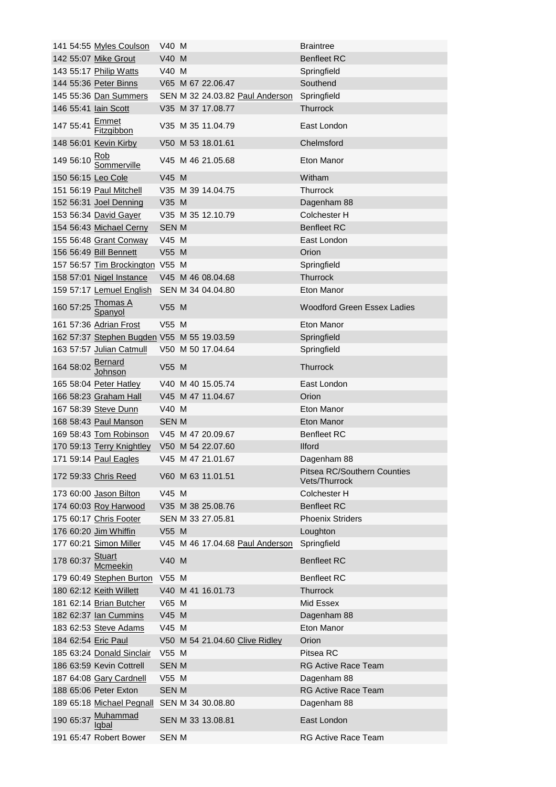|           | 141 54:55 Myles Coulson                     | V40 M        |                                 | <b>Braintree</b>                                    |
|-----------|---------------------------------------------|--------------|---------------------------------|-----------------------------------------------------|
|           | 142 55:07 Mike Grout                        | V40 M        |                                 | <b>Benfleet RC</b>                                  |
|           | 143 55:17 Philip Watts                      | V40 M        |                                 | Springfield                                         |
|           | 144 55:36 Peter Binns                       |              | V65 M 67 22.06.47               | Southend                                            |
|           | 145 55:36 Dan Summers                       |              | SEN M 32 24.03.82 Paul Anderson | Springfield                                         |
|           | 146 55:41 lain Scott                        |              | V35 M 37 17.08.77               | <b>Thurrock</b>                                     |
|           | 147 55:41 Emmet<br>Fitzgibbon               |              | V35 M 35 11.04.79               | East London                                         |
|           | 148 56:01 Kevin Kirby                       |              | V50 M 53 18.01.61               | Chelmsford                                          |
|           | 149 56:10 Rob<br>Sommerville                |              | V45 M 46 21.05.68               | Eton Manor                                          |
|           | 150 56:15 Leo Cole                          | V45 M        |                                 | Witham                                              |
|           | 151 56:19 Paul Mitchell                     |              | V35 M 39 14.04.75               | Thurrock                                            |
|           | 152 56:31 Joel Denning                      | V35 M        |                                 | Dagenham 88                                         |
|           | 153 56:34 David Gayer                       |              | V35 M 35 12.10.79               | Colchester H                                        |
|           | 154 56:43 Michael Cerny                     | <b>SEN M</b> |                                 | <b>Benfleet RC</b>                                  |
|           | 155 56:48 Grant Conway                      | V45 M        |                                 | East London                                         |
|           | 156 56:49 <b>Bill Bennett</b>               | V55 M        |                                 | Orion                                               |
|           | 157 56:57 Tim Brockington V55 M             |              |                                 | Springfield                                         |
|           | 158 57:01 Nigel Instance                    |              | V45 M 46 08.04.68               | Thurrock                                            |
|           | 159 57:17 Lemuel English                    |              | SEN M 34 04.04.80               | Eton Manor                                          |
|           | 160 57:25 Thomas A                          | V55 M        |                                 | <b>Woodford Green Essex Ladies</b>                  |
|           | 161 57:36 Adrian Frost                      | V55 M        |                                 | Eton Manor                                          |
|           | 162 57:37 Stephen Bugden V55 M 55 19.03.59  |              |                                 | Springfield                                         |
|           | 163 57:57 Julian Catmull                    |              | V50 M 50 17.04.64               | Springfield                                         |
|           | 164 58:02 <b>Bernard</b><br>Johnson         | V55 M        |                                 | <b>Thurrock</b>                                     |
|           | 165 58:04 Peter Hatley                      |              | V40 M 40 15.05.74               | East London                                         |
|           | 166 58:23 Graham Hall                       |              | V45 M 47 11.04.67               | Orion                                               |
|           | 167 58:39 Steve Dunn                        | V40 M        |                                 | Eton Manor                                          |
|           | 168 58:43 Paul Manson                       | <b>SEN M</b> |                                 | Eton Manor                                          |
|           | 169 58:43 Tom Robinson                      |              | V45 M 47 20.09.67               | <b>Benfleet RC</b>                                  |
|           | 170 59:13 Terry Knightley                   |              | V50 M 54 22.07.60               | <b>Ilford</b>                                       |
|           | 171 59:14 Paul Eagles                       |              | V45 M 47 21.01.67               | Dagenham 88                                         |
|           | 172 59:33 Chris Reed                        |              | V60 M 63 11.01.51               | <b>Pitsea RC/Southern Counties</b><br>Vets/Thurrock |
|           | 173 60:00 Jason Bilton                      | V45 M        |                                 | Colchester H                                        |
|           | 174 60:03 Roy Harwood                       |              | V35 M 38 25.08.76               | <b>Benfleet RC</b>                                  |
|           | 175 60:17 Chris Footer                      |              | SEN M 33 27.05.81               | <b>Phoenix Striders</b>                             |
|           | 176 60:20 Jim Whiffin                       | V55 M        |                                 | Loughton                                            |
|           | 177 60:21 Simon Miller                      |              | V45 M 46 17.04.68 Paul Anderson | Springfield                                         |
|           | 178 60:37 Stuart<br>Acmeekin                | V40 M        |                                 | <b>Benfleet RC</b>                                  |
|           | 179 60:49 Stephen Burton                    | V55 M        |                                 | <b>Benfleet RC</b>                                  |
|           | 180 62:12 Keith Willett                     |              | V40 M 41 16.01.73               | <b>Thurrock</b>                                     |
|           | 181 62:14 Brian Butcher                     | V65 M        |                                 | Mid Essex                                           |
|           | 182 62:37 Ian Cummins                       | V45 M        |                                 | Dagenham 88                                         |
|           |                                             | V45 M        |                                 | Eton Manor                                          |
|           | 183 62:53 Steve Adams                       |              |                                 |                                                     |
|           | 184 62:54 Eric Paul                         |              | V50 M 54 21.04.60 Clive Ridley  | Orion                                               |
|           | 185 63:24 Donald Sinclair                   | V55 M        |                                 | Pitsea RC                                           |
|           | 186 63:59 Kevin Cottrell                    | <b>SEN M</b> |                                 | <b>RG Active Race Team</b>                          |
|           | 187 64:08 Gary Cardnell                     | V55 M        |                                 | Dagenham 88                                         |
|           | 188 65:06 Peter Exton                       | <b>SEN M</b> |                                 | RG Active Race Team                                 |
|           | 189 65:18 Michael Pegnall SEN M 34 30.08.80 |              |                                 | Dagenham 88                                         |
| 190 65:37 | Muhammad<br>ldbal                           |              | SEN M 33 13.08.81               | East London                                         |
|           | 191 65:47 Robert Bower                      | <b>SEN M</b> |                                 | <b>RG Active Race Team</b>                          |